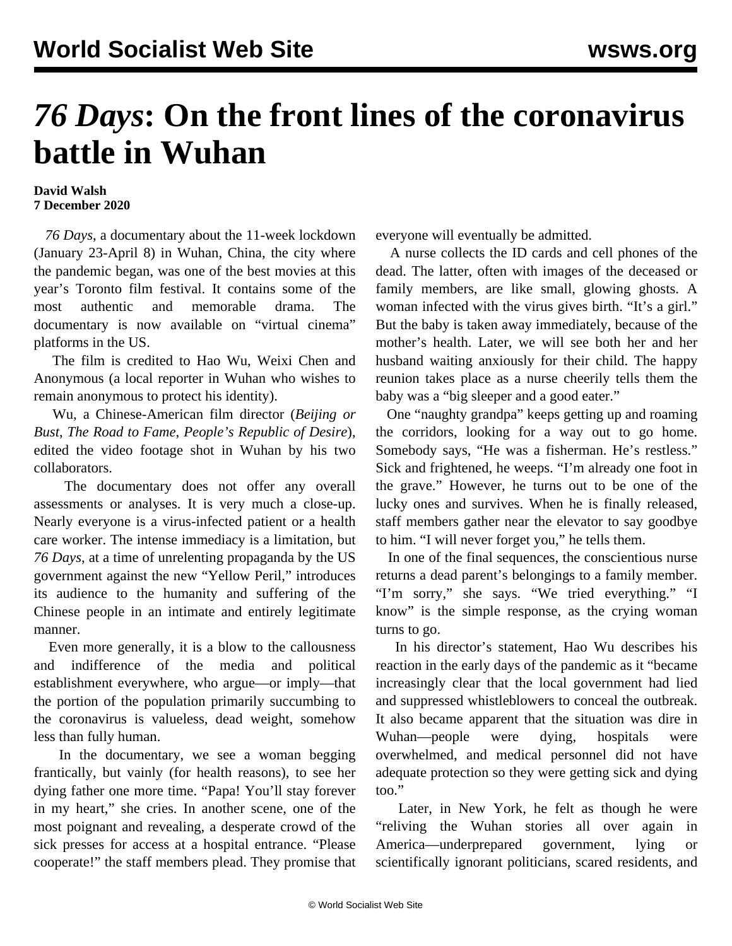## *76 Days***: On the front lines of the coronavirus battle in Wuhan**

## **David Walsh 7 December 2020**

 *76 Days*, a documentary about the 11-week lockdown (January 23-April 8) in Wuhan, China, the city where the pandemic began, was one of the best movies at this year's Toronto film festival. It contains some of the most authentic and memorable drama. The documentary is now available on "virtual cinema" platforms in the US.

 The film is credited to Hao Wu, Weixi Chen and Anonymous (a local reporter in Wuhan who wishes to remain anonymous to protect his identity).

 Wu, a Chinese-American film director (*Beijing or Bust*, *The Road to Fame*, *People's Republic of Desire*), edited the video footage shot in Wuhan by his two collaborators.

 The documentary does not offer any overall assessments or analyses. It is very much a close-up. Nearly everyone is a virus-infected patient or a health care worker. The intense immediacy is a limitation, but *76 Days*, at a time of unrelenting propaganda by the US government against the new "Yellow Peril," introduces its audience to the humanity and suffering of the Chinese people in an intimate and entirely legitimate manner.

 Even more generally, it is a blow to the callousness and indifference of the media and political establishment everywhere, who argue—or imply—that the portion of the population primarily succumbing to the coronavirus is valueless, dead weight, somehow less than fully human.

 In the documentary, we see a woman begging frantically, but vainly (for health reasons), to see her dying father one more time. "Papa! You'll stay forever in my heart," she cries. In another scene, one of the most poignant and revealing, a desperate crowd of the sick presses for access at a hospital entrance. "Please cooperate!" the staff members plead. They promise that everyone will eventually be admitted.

 A nurse collects the ID cards and cell phones of the dead. The latter, often with images of the deceased or family members, are like small, glowing ghosts. A woman infected with the virus gives birth. "It's a girl." But the baby is taken away immediately, because of the mother's health. Later, we will see both her and her husband waiting anxiously for their child. The happy reunion takes place as a nurse cheerily tells them the baby was a "big sleeper and a good eater."

 One "naughty grandpa" keeps getting up and roaming the corridors, looking for a way out to go home. Somebody says, "He was a fisherman. He's restless." Sick and frightened, he weeps. "I'm already one foot in the grave." However, he turns out to be one of the lucky ones and survives. When he is finally released, staff members gather near the elevator to say goodbye to him. "I will never forget you," he tells them.

 In one of the final sequences, the conscientious nurse returns a dead parent's belongings to a family member. "I'm sorry," she says. "We tried everything." "I know" is the simple response, as the crying woman turns to go.

 In his director's statement, Hao Wu describes his reaction in the early days of the pandemic as it "became increasingly clear that the local government had lied and suppressed whistleblowers to conceal the outbreak. It also became apparent that the situation was dire in Wuhan—people were dying, hospitals were overwhelmed, and medical personnel did not have adequate protection so they were getting sick and dying too."

 Later, in New York, he felt as though he were "reliving the Wuhan stories all over again in America—underprepared government, lying or scientifically ignorant politicians, scared residents, and